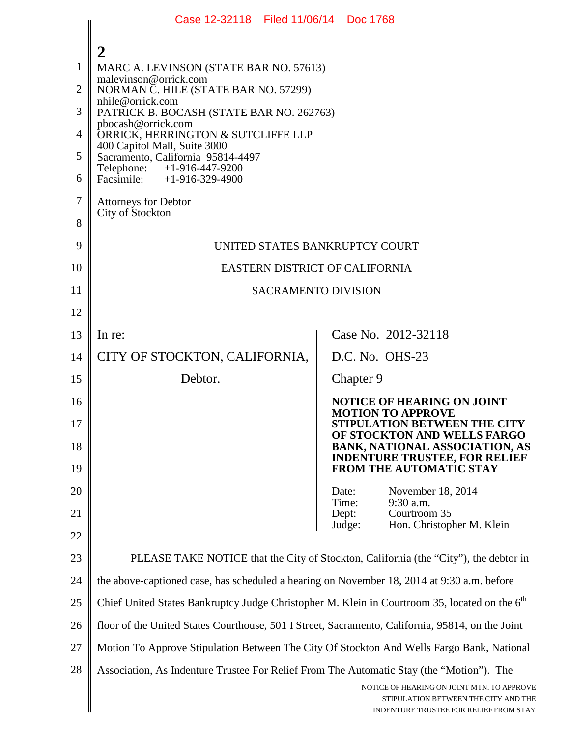|                | Case 12-32118 Filed 11/06/14 Doc 1768                                                                                                  |                                                                                |  |
|----------------|----------------------------------------------------------------------------------------------------------------------------------------|--------------------------------------------------------------------------------|--|
| 1              | 2<br>MARC A. LEVINSON (STATE BAR NO. 57613)<br>malevinson@orrick.com                                                                   |                                                                                |  |
| $\overline{2}$ | NORMAN C. HILE (STATE BAR NO. 57299)<br>nhile@orrick.com                                                                               |                                                                                |  |
| 3              | PATRICK B. BOCASH (STATE BAR NO. 262763)<br>pbocash@orrick.com                                                                         |                                                                                |  |
| $\overline{4}$ | ORRICK, HERRINGTON & SUTCLIFFE LLP<br>400 Capitol Mall, Suite 3000                                                                     |                                                                                |  |
| 5              | Sacramento, California 95814-4497<br>+1-916-447-9200<br>Telephone:                                                                     |                                                                                |  |
| 6              | Facsimile: $+1-916-329-4900$                                                                                                           |                                                                                |  |
| 7              | <b>Attorneys for Debtor</b><br>City of Stockton                                                                                        |                                                                                |  |
| 8              |                                                                                                                                        |                                                                                |  |
| 9              | UNITED STATES BANKRUPTCY COURT                                                                                                         |                                                                                |  |
| 10             | EASTERN DISTRICT OF CALIFORNIA                                                                                                         |                                                                                |  |
| 11             | <b>SACRAMENTO DIVISION</b>                                                                                                             |                                                                                |  |
| 12             |                                                                                                                                        |                                                                                |  |
| 13             | In re:                                                                                                                                 | Case No. 2012-32118                                                            |  |
| 14             | CITY OF STOCKTON, CALIFORNIA,                                                                                                          | D.C. No. OHS-23                                                                |  |
| 15             | Debtor.                                                                                                                                | Chapter 9                                                                      |  |
| 16             |                                                                                                                                        | <b>NOTICE OF HEARING ON JOINT</b><br><b>MOTION TO APPROVE</b>                  |  |
| 17             |                                                                                                                                        | STIPULATION BETWEEN THE CITY<br>OF STOCKTON AND WELLS FARGO                    |  |
| 18             |                                                                                                                                        | <b>BANK, NATIONAL ASSOCIATION, AS</b><br><b>INDENTURE TRUSTEE, FOR RELIEF</b>  |  |
| 19             |                                                                                                                                        | FROM THE AUTOMATIC STAY                                                        |  |
| 20             |                                                                                                                                        | November 18, 2014<br>Date:<br>Time:<br>9:30 a.m.<br>Courtroom 35               |  |
| 21<br>22       |                                                                                                                                        | Dept:<br>Hon. Christopher M. Klein<br>Judge:                                   |  |
| 23             | PLEASE TAKE NOTICE that the City of Stockton, California (the "City"), the debtor in                                                   |                                                                                |  |
| 24             |                                                                                                                                        |                                                                                |  |
| 25             | the above-captioned case, has scheduled a hearing on November 18, 2014 at 9:30 a.m. before                                             |                                                                                |  |
|                | Chief United States Bankruptcy Judge Christopher M. Klein in Courtroom 35, located on the 6 <sup>th</sup>                              |                                                                                |  |
| 26             | floor of the United States Courthouse, 501 I Street, Sacramento, California, 95814, on the Joint                                       |                                                                                |  |
| 27             | Motion To Approve Stipulation Between The City Of Stockton And Wells Fargo Bank, National                                              |                                                                                |  |
| 28             | Association, As Indenture Trustee For Relief From The Automatic Stay (the "Motion"). The<br>NOTICE OF HEARING ON JOINT MTN. TO APPROVE |                                                                                |  |
|                |                                                                                                                                        | STIPULATION BETWEEN THE CITY AND THE<br>INDENTURE TRUSTEE FOR RELIEF FROM STAY |  |